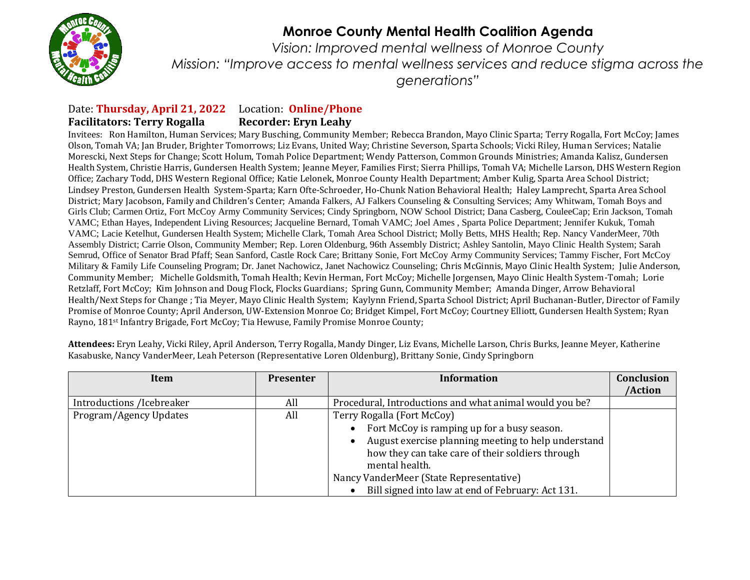

## **Monroe County Mental Health Coalition Agenda**

*Vision: Improved mental wellness of Monroe County Mission: "Improve access to mental wellness services and reduce stigma across the generations"*

## Date: **Thursday, April 21, 2022** Location: **Online/Phone Facilitators: Terry Rogalla Recorder: Eryn Leahy**

Invitees: Ron Hamilton, Human Services; Mary Busching, Community Member; Rebecca Brandon, Mayo Clinic Sparta; Terry Rogalla, Fort McCoy; James Olson, Tomah VA; Jan Bruder, Brighter Tomorrows; Liz Evans, United Way; Christine Severson, Sparta Schools; Vicki Riley, Human Services; Natalie Morescki, Next Steps for Change; Scott Holum, Tomah Police Department; Wendy Patterson, Common Grounds Ministries; Amanda Kalisz, Gundersen Health System, Christie Harris, Gundersen Health System; Jeanne Meyer, Families First; Sierra Phillips, Tomah VA; Michelle Larson, DHS Western Region Office; Zachary Todd, DHS Western Regional Office; Katie Lelonek, Monroe County Health Department; Amber Kulig, Sparta Area School District; Lindsey Preston, Gundersen Health System-Sparta; Karn Ofte-Schroeder, Ho-Chunk Nation Behavioral Health; Haley Lamprecht, Sparta Area School District; Mary Jacobson, Family and Children's Center; Amanda Falkers, AJ Falkers Counseling & Consulting Services; Amy Whitwam, Tomah Boys and Girls Club; Carmen Ortiz, Fort McCoy Army Community Services; Cindy Springborn, NOW School District; Dana Casberg, CouleeCap; Erin Jackson, Tomah VAMC; Ethan Hayes, Independent Living Resources; Jacqueline Bernard, Tomah VAMC; Joel Ames , Sparta Police Department; Jennifer Kukuk, Tomah VAMC; Lacie Ketelhut, Gundersen Health System; Michelle Clark, Tomah Area School District; Molly Betts, MHS Health; Rep. Nancy VanderMeer, 70th Assembly District; Carrie Olson, Community Member; Rep. Loren Oldenburg, 96th Assembly District; Ashley Santolin, Mayo Clinic Health System; Sarah Semrud, Office of Senator Brad Pfaff; Sean Sanford, Castle Rock Care; Brittany Sonie, Fort McCoy Army Community Services; Tammy Fischer, Fort McCoy Military & Family Life Counseling Program; Dr. Janet Nachowicz, Janet Nachowicz Counseling; Chris McGinnis, Mayo Clinic Health System; Julie Anderson, Community Member; Michelle Goldsmith, Tomah Health; Kevin Herman, Fort McCoy; Michelle Jorgensen, Mayo Clinic Health System-Tomah; Lorie Retzlaff, Fort McCoy; Kim Johnson and Doug Flock, Flocks Guardians; Spring Gunn, Community Member; Amanda Dinger, Arrow Behavioral Health/Next Steps for Change ; Tia Meyer, Mayo Clinic Health System; Kaylynn Friend, Sparta School District; April Buchanan-Butler, Director of Family Promise of Monroe County; April Anderson, UW-Extension Monroe Co; Bridget Kimpel, Fort McCoy; Courtney Elliott, Gundersen Health System; Ryan Rayno, 181st Infantry Brigade, Fort McCoy; Tia Hewuse, Family Promise Monroe County;

| Item                      | <b>Presenter</b> | <b>Information</b>                                      | Conclusion |
|---------------------------|------------------|---------------------------------------------------------|------------|
|                           |                  |                                                         | /Action    |
| Introductions /Icebreaker | All              | Procedural, Introductions and what animal would you be? |            |
| Program/Agency Updates    | All              | Terry Rogalla (Fort McCoy)                              |            |
|                           |                  | Fort McCoy is ramping up for a busy season.             |            |
|                           |                  | August exercise planning meeting to help understand     |            |
|                           |                  | how they can take care of their soldiers through        |            |
|                           |                  | mental health.                                          |            |
|                           |                  | Nancy VanderMeer (State Representative)                 |            |
|                           |                  | Bill signed into law at end of February: Act 131.       |            |

**Attendees:** Eryn Leahy, Vicki Riley, April Anderson, Terry Rogalla, Mandy Dinger, Liz Evans, Michelle Larson, Chris Burks, Jeanne Meyer, Katherine Kasabuske, Nancy VanderMeer, Leah Peterson (Representative Loren Oldenburg), Brittany Sonie, Cindy Springborn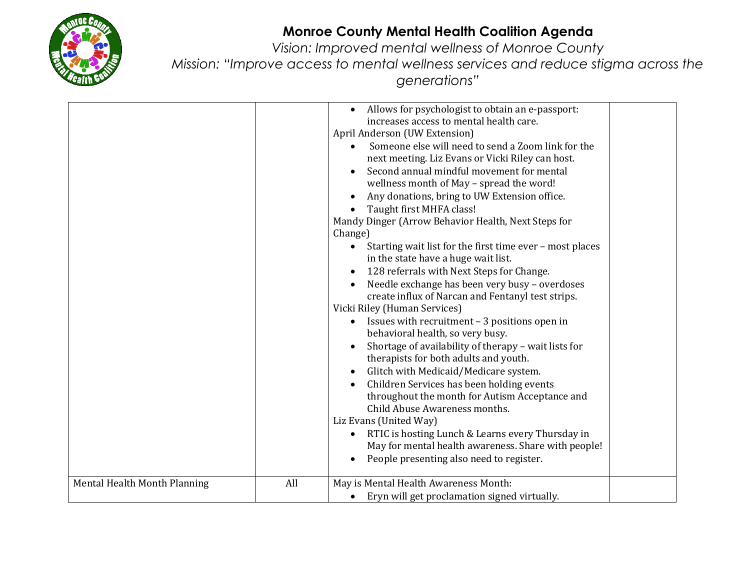

## **Monroe County Mental Health Coalition Agenda**

*Vision: Improved mental wellness of Monroe County Mission: "Improve access to mental wellness services and reduce stigma across the generations"*

| Mental Health Month Planning | All | Allows for psychologist to obtain an e-passport:<br>$\bullet$<br>increases access to mental health care.<br>April Anderson (UW Extension)<br>Someone else will need to send a Zoom link for the<br>next meeting. Liz Evans or Vicki Riley can host.<br>Second annual mindful movement for mental<br>wellness month of May - spread the word!<br>Any donations, bring to UW Extension office.<br>Taught first MHFA class!<br>$\bullet$<br>Mandy Dinger (Arrow Behavior Health, Next Steps for<br>Change)<br>Starting wait list for the first time ever - most places<br>$\bullet$<br>in the state have a huge wait list.<br>128 referrals with Next Steps for Change.<br>$\bullet$<br>Needle exchange has been very busy - overdoses<br>$\bullet$<br>create influx of Narcan and Fentanyl test strips.<br>Vicki Riley (Human Services)<br>Issues with recruitment - 3 positions open in<br>$\bullet$<br>behavioral health, so very busy.<br>Shortage of availability of therapy - wait lists for<br>therapists for both adults and youth.<br>Glitch with Medicaid/Medicare system.<br>$\bullet$<br>Children Services has been holding events<br>throughout the month for Autism Acceptance and<br>Child Abuse Awareness months.<br>Liz Evans (United Way)<br>RTIC is hosting Lunch & Learns every Thursday in<br>$\bullet$<br>May for mental health awareness. Share with people!<br>People presenting also need to register.<br>May is Mental Health Awareness Month: |  |
|------------------------------|-----|-----------------------------------------------------------------------------------------------------------------------------------------------------------------------------------------------------------------------------------------------------------------------------------------------------------------------------------------------------------------------------------------------------------------------------------------------------------------------------------------------------------------------------------------------------------------------------------------------------------------------------------------------------------------------------------------------------------------------------------------------------------------------------------------------------------------------------------------------------------------------------------------------------------------------------------------------------------------------------------------------------------------------------------------------------------------------------------------------------------------------------------------------------------------------------------------------------------------------------------------------------------------------------------------------------------------------------------------------------------------------------------------------------------------------------------------------------------------------|--|
|                              |     | Eryn will get proclamation signed virtually.<br>$\bullet$                                                                                                                                                                                                                                                                                                                                                                                                                                                                                                                                                                                                                                                                                                                                                                                                                                                                                                                                                                                                                                                                                                                                                                                                                                                                                                                                                                                                             |  |